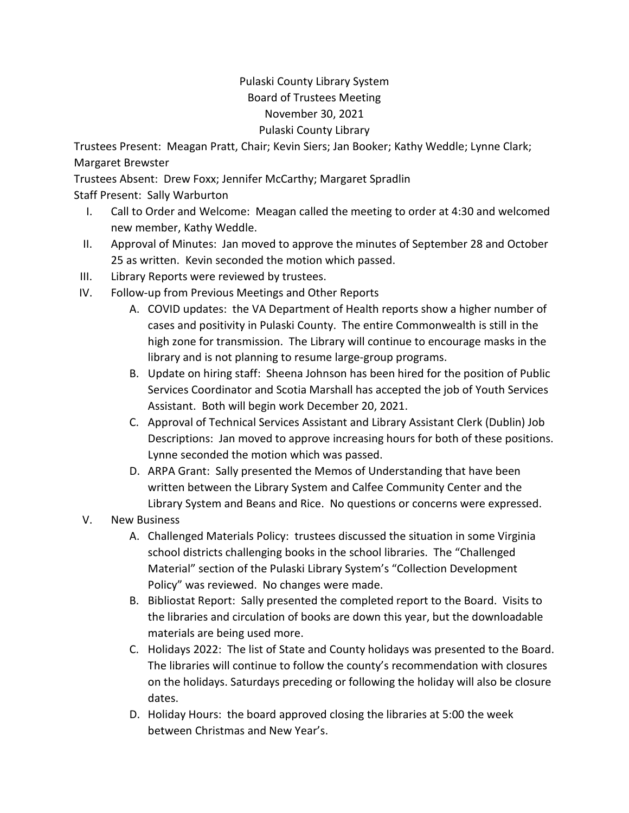## Pulaski County Library System Board of Trustees Meeting November 30, 2021 Pulaski County Library

Trustees Present: Meagan Pratt, Chair; Kevin Siers; Jan Booker; Kathy Weddle; Lynne Clark; Margaret Brewster

Trustees Absent: Drew Foxx; Jennifer McCarthy; Margaret Spradlin Staff Present: Sally Warburton

- I. Call to Order and Welcome: Meagan called the meeting to order at 4:30 and welcomed new member, Kathy Weddle.
- II. Approval of Minutes: Jan moved to approve the minutes of September 28 and October 25 as written. Kevin seconded the motion which passed.
- III. Library Reports were reviewed by trustees.
- IV. Follow-up from Previous Meetings and Other Reports
	- A. COVID updates: the VA Department of Health reports show a higher number of cases and positivity in Pulaski County. The entire Commonwealth is still in the high zone for transmission. The Library will continue to encourage masks in the library and is not planning to resume large-group programs.
	- B. Update on hiring staff: Sheena Johnson has been hired for the position of Public Services Coordinator and Scotia Marshall has accepted the job of Youth Services Assistant. Both will begin work December 20, 2021.
	- C. Approval of Technical Services Assistant and Library Assistant Clerk (Dublin) Job Descriptions: Jan moved to approve increasing hours for both of these positions. Lynne seconded the motion which was passed.
	- D. ARPA Grant: Sally presented the Memos of Understanding that have been written between the Library System and Calfee Community Center and the Library System and Beans and Rice. No questions or concerns were expressed.
- V. New Business
	- A. Challenged Materials Policy: trustees discussed the situation in some Virginia school districts challenging books in the school libraries. The "Challenged Material" section of the Pulaski Library System's "Collection Development Policy" was reviewed. No changes were made.
	- B. Bibliostat Report: Sally presented the completed report to the Board. Visits to the libraries and circulation of books are down this year, but the downloadable materials are being used more.
	- C. Holidays 2022: The list of State and County holidays was presented to the Board. The libraries will continue to follow the county's recommendation with closures on the holidays. Saturdays preceding or following the holiday will also be closure dates.
	- D. Holiday Hours: the board approved closing the libraries at 5:00 the week between Christmas and New Year's.